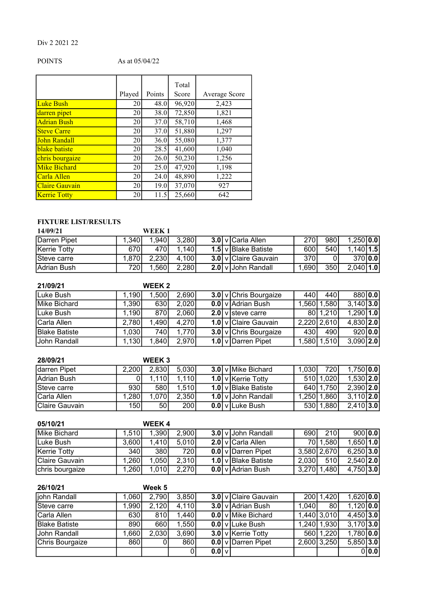## Div 2 2021 22

## POINTS As at 05/04/22

|                       |        |        | Total  |               |
|-----------------------|--------|--------|--------|---------------|
|                       | Played | Points | Score  | Average Score |
| <b>Luke Bush</b>      | 20     | 48.0   | 96,920 | 2,423         |
| darren pipet          | 20     | 38.0   | 72,850 | 1,821         |
| <b>Adrian Bush</b>    | 20     | 37.0   | 58,710 | 1,468         |
| <b>Steve Carre</b>    | 20     | 37.0   | 51,880 | 1,297         |
| John Randall          | 20     | 36.0   | 55,080 | 1,377         |
| blake batiste         | 20     | 28.5   | 41,600 | 1,040         |
| chris bourgaize       | 20     | 26.0   | 50,230 | 1,256         |
| <b>Mike Bichard</b>   | 20     | 25.0   | 47,920 | 1,198         |
| Carla Allen           | 20     | 24.0   | 48,890 | 1,222         |
| <b>Claire Gauvain</b> | 20     | 19.0   | 37,070 | 927           |
| <b>Kerrie Totty</b>   | 20     | 11.5   | 25,660 | 642           |

# FIXTURE LIST/RESULTS

| 14/09/21            |        | WEEK 1 |       |  |                       |       |      |               |  |
|---------------------|--------|--------|-------|--|-----------------------|-------|------|---------------|--|
| <b>Darren Pipet</b> | 1.340I | 1,940  | 3,280 |  | 3.0   v   Carla Allen | 270I  | 980  | $1,250$   0.0 |  |
| Kerrie Totty        | 670I   | 470I   | 1,140 |  | 1.5 v Blake Batiste   | 600   | 540l | $1,140$ 1.5   |  |
| Steve carre         | 1.870I | 2,230  | 4,100 |  | 3.0 v Claire Gauvain  | 370I  |      | 370   0.0     |  |
| Adrian Bush         | 7201   | .560   | 2,280 |  | 2.0 v John Randall    | 1,690 | 350  | $2,040$ 1.0   |  |

| 21/09/21      |        | WEEK <sub>2</sub> |       |  |                                    |        |             |              |  |
|---------------|--------|-------------------|-------|--|------------------------------------|--------|-------------|--------------|--|
| Luke Bush     | .1901  | 1.500             | 2,690 |  | 3.0 v Chris Bourgaize              | 440I   | 440I        | 880 0.0      |  |
| Mike Bichard  | .3901  | 630               | 2,020 |  | <b>0.0</b> v Adrian Bush           | 1.560I | 1,580       | $3,140$ 3.0  |  |
| Luke Bush     | .190   | 870               | 2,060 |  | 2.0 v Isteve carre                 |        | 80 1.210    | $1,290$ 1.0  |  |
| Carla Allen   | 2,780  | 1,490             | 4,270 |  | 1.0 v Claire Gauvain               |        | 2,220 2,610 | 4,830 2.0    |  |
| Blake Batiste | 1.030  | 740               | 1,770 |  | 3.0 v Chris Bourgaize              | 430    | 490         | 920   0.0    |  |
| Uohn Randall  | 1.1301 | 1,840             | 2,970 |  | 1.0 $\sqrt{\text{D}}$ Darren Pipet | 1,580  | 1,510       | $3,090$  2.0 |  |

| 28/09/21           |        | WEEK 3 |       |  |                        |         |       |               |  |
|--------------------|--------|--------|-------|--|------------------------|---------|-------|---------------|--|
| darren Pipet       | 2.200I | 2,830  | 5,030 |  | 3.0 v Mike Bichard     | 1.030I  | 720I  | $1,750$   0.0 |  |
| Adrian Bush        |        | 1.110I | 1,110 |  | 1.0 v   Kerrie Totty   | 510I    | 1,020 | $1,530$  2.0  |  |
| Steve carre        | 9301   | 580    | 1,510 |  | 1.0 v Blake Batiste    | 640 l   | .750I | $2,390$  2.0  |  |
| <b>Carla Allen</b> | 280۱.  | 1,070  | 2,350 |  | 1.0 v John Randall     | ا250. ا | ا860. | $3,110$ 2.0   |  |
| Claire Gauvain     | 150I   | 50 l   | 200   |  | <b>0.0</b> v Luke Bush | 530     | ا880. | $2,410$ 3.0   |  |

| 05/10/21        |                   | <b>WEEK4</b> |       |  |                           |       |                  |               |  |
|-----------------|-------------------|--------------|-------|--|---------------------------|-------|------------------|---------------|--|
| Mike Bichard    | 1.510             | 1,390        | 2,900 |  | 3.0 v John Randall        | 690   | 210 <sup>I</sup> | 900 0.0       |  |
| Luke Bush       | 3,600             | 1.410        | 5,010 |  | 2.0 v Carla Allen         | 70I   | 1,580            | $1,650$   1.0 |  |
| Kerrie Totty    | 340               | 380 l        | 720 l |  | <b>0.0</b> v Darren Pipet |       | 3,580 2,670      | $6,250$   3.0 |  |
| Claire Gauvain  | .260 <sup>1</sup> | 1,050        | 2,310 |  | 1.0 v Blake Batiste       | 2,030 | 510l             | $2,540$   2.0 |  |
| chris bourgaize | .260              | 1,010        | 2.270 |  | <b>0.0</b> v Adrian Bush  | 3,270 | ,4801            | $4,750$ 3.0   |  |

| 26/10/21             |        | Week 5 |       |           |                           |       |               |               |       |
|----------------------|--------|--------|-------|-----------|---------------------------|-------|---------------|---------------|-------|
| john Randall         | 1,060  | 2,790  | 3,850 |           | 3.0 v Claire Gauvain      |       | 200 1,420     | $1,620$ 0.0   |       |
| Steve carre          | 1.990I | 2,120  | 4,110 |           | 3.0 v Adrian Bush         | 1.040 | 80            | $1,120$ 0.0   |       |
| Carla Allen          | 630I   | 810    | 1,440 |           | <b>0.0</b> v Mike Bichard |       | 1,440 3,010   | $4,450$ 3.0   |       |
| <b>Blake Batiste</b> | 8901   | 660    | 1,550 |           | $0.0$ v Luke Bush         |       | 1,240   1,930 | $3,170$ 3.0   |       |
| John Randall         | 1.6601 | 2,030  | 3,690 |           | 3.0 v   Kerrie Totty      |       | 560 1.220     | $1,780$ $0.0$ |       |
| Chris Bourgaize      | 860    | 0      | 860   |           | 0.0 v Darren Pipet        |       | 2,600 3,250   | $5,850$ 3.0   |       |
|                      |        |        | υι    | $0.0$   v |                           |       |               |               | 0 0.0 |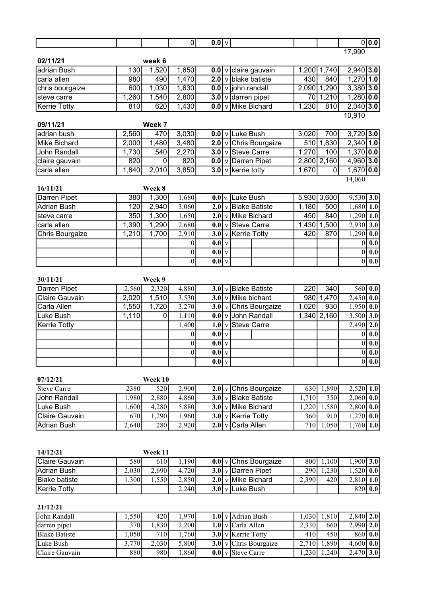|                                            |       |         | $\overline{0}$   | $\overline{0.0 v}$                |                                  |            |                 | 0 0.0                                   |
|--------------------------------------------|-------|---------|------------------|-----------------------------------|----------------------------------|------------|-----------------|-----------------------------------------|
| 02/11/21                                   |       | week 6  |                  |                                   |                                  |            |                 | 17,990                                  |
| adrian Bush                                | 130   | 1,520   | 1,650            | 0.0 v                             | claire gauvain                   |            | 1,200 1,740     | $2,940$ 3.0                             |
| carla allen                                | 980   | 490     | 1,470            | $\overline{2.0}$<br>$\mathsf{v}$  | blake batiste                    | 430        | 840             | $1,270$ 1.0                             |
| chris bourgaize                            | 600   | 1,030   | 1,630            | 0.0                               | v john randall                   |            | 2,090 1,290     | $3,380$ 3.0                             |
| steve carre                                | 1,260 | 1,540   | 2,800            |                                   | 3.0 v darren pipet               |            | 70 1,210        | $1,280$ 0.0                             |
| <b>Kerrie Totty</b>                        | 810   | 620     | 1,430            | 0.0                               | v Mike Bichard                   | 1,230      | 810             | $2,040$ 3.0                             |
| 09/11/21                                   |       | Week 7  |                  |                                   |                                  |            |                 | 10,910                                  |
| adrian bush                                | 2,560 | 470     | 3,030            |                                   | 0.0 v Luke Bush                  | 3,020      | 700             | $3,720$ 3.0                             |
| <b>Mike Bichard</b>                        | 2,000 | 1,480   | 3,480            | 2.0                               | v Chris Bourgaize                | 510        | 1,830           | $2,340$ 1.0                             |
| <b>John Randall</b>                        | 1,730 | 540     | 2,270            |                                   | 3.0 v Steve Carre                | 1,270      | 100             | $1,370$ 0.0                             |
| claire gauvain                             | 820   | 0       | 820              |                                   | 0.0 v Darren Pipet               |            | $2,800$ $2,160$ | $4,960$ 3.0                             |
| carla allen                                | 1,840 | 2,010   | 3,850            |                                   | 3.0 $\sqrt{}$ kerrie totty       | 1,670      | $\overline{0}$  | $1,670$ 0.0                             |
|                                            |       |         |                  |                                   |                                  |            |                 | 14,060                                  |
| 16/11/21                                   |       | Week 8  |                  |                                   |                                  |            |                 |                                         |
| <b>Darren Pipet</b>                        | 380   | 1,300   | 1,680            |                                   | $0.0$ <sub>V</sub> Luke Bush     |            | 5,930 3,600     | $9,530$ 3.0                             |
| <b>Adrian Bush</b>                         | 120   | 2,940   | 3,060            | 2.0                               | v Blake Batiste                  | 1,180      | 500             | 1,680<br>$\vert$ 1.0                    |
| steve carre                                | 350   | 1,300   | 1,650            | 2.0                               | v Mike Bichard                   | 450        | 840             | 1,290<br> 1.0                           |
| carla allen                                | 1,390 | 1,290   | 2,680            | 0.0                               | v Steve Carre                    |            | 1,430 1,500     | 2,930<br>3.0                            |
| <b>Chris Bourgaize</b>                     | 1,210 | 1,700   | 2,910            | 3.0                               | v Kerrie Totty                   | 420        | 870             | 1,290<br>0.0                            |
|                                            |       |         | 0                | $0.0\vert v$                      |                                  |            |                 | 0.0<br>$\boldsymbol{0}$                 |
|                                            |       |         | $\boldsymbol{0}$ | $0.0\vert v$                      |                                  |            |                 | $\boldsymbol{0}$<br>0.0                 |
|                                            |       |         | $\boldsymbol{0}$ | 0.0<br>$\overline{\mathbf{V}}$    |                                  |            |                 | $\overline{0.0}$<br>$\vert 0 \vert$     |
| 30/11/21                                   |       | Week 9  |                  |                                   |                                  |            |                 |                                         |
| <b>Darren Pipet</b>                        | 2,560 | 2,320   | 4,880            |                                   | 3.0 v Blake Batiste              | 220        | 340             | 560   0.0                               |
| <b>Claire Gauvain</b>                      | 2,020 | 1,510   | 3,530            | 3.0                               | v Mike bichard                   |            | 980 1,470       | 2,450<br>0.0                            |
| Carla Allen                                | 1,550 | 1,720   | 3,270            |                                   | $3.0$ v Chris Bourgaize          | 1,020      | 930             | $\overline{\hspace{.1cm}0.0}$<br>1,950  |
| Luke Bush                                  | 1,110 | 0       | 1,110            |                                   | 0.0 v John Randall               |            | $1,340$ 2,160   | 3,500<br>3.0                            |
| <b>Kerrie Totty</b>                        |       |         | 1,400            | 1.0<br>$\overline{\mathbf{V}}$    | <b>Steve Carre</b>               |            |                 | 2.0<br>2,490                            |
|                                            |       |         | 0                | $0.0$ v                           |                                  |            |                 | $\overline{\mathbf{0.0}}$<br>$\theta$   |
|                                            |       |         | 0                | 0.0<br>$\mathbf V$                |                                  |            |                 | $\mathbf{0.0}$<br>$\theta$              |
|                                            |       |         | 0                | $\vert 0.0 \vert$<br>$\mathbf{V}$ |                                  |            |                 | 0.0<br>$\boldsymbol{0}$                 |
|                                            |       |         |                  | $0.0\vert v$                      |                                  |            |                 | 0 0.0                                   |
|                                            |       |         |                  |                                   |                                  |            |                 |                                         |
| 07/12/21                                   |       | Week 10 |                  |                                   |                                  |            |                 |                                         |
| <b>Steve Carre</b>                         | 2380  | 520     | 2,900            | 2.0 v                             | Chris Bourgaize                  | 630        | 1,890           | $2,520$ 1.0                             |
| John Randall                               | 1,980 | 2,880   | 4,860            |                                   | $3.0$ v Blake Batiste            | 1,710      | 350             | $\overline{2,060}$<br>$\vert 0.0 \vert$ |
| Luke Bush                                  | 1,600 | 4,280   | 5,880            | 3.0<br>$\mathbf{v}$               | <b>Mike Bichard</b>              | 1,220      | 1,580           | 2,800<br>$\vert 0.0 \vert$              |
| <b>Claire Gauvain</b>                      | 670   | 1,290   | 1,960            | 3.0<br>$\mathbf{v}$               | <b>Kerrie Totty</b>              | 360        | 910             | 1,270<br>$\vert 0.0 \vert$              |
| <b>Adrian Bush</b>                         | 2,640 | 280     | 2,920            | 2.0<br>$\mathbf{V}$               | Carla Allen                      | 710        | 1,050           | 1,760<br> 1.0                           |
|                                            |       |         |                  |                                   |                                  |            |                 |                                         |
| 14/12/21                                   |       | Week 11 |                  |                                   |                                  |            |                 |                                         |
| <b>Claire Gauvain</b>                      | 580   | 610     | 1,190            | 0.0 v                             | Chris Bourgaize                  | 800<br>290 | 1,100           | $1,900$ 3.0                             |
| <b>Adrian Bush</b><br><b>Blake batiste</b> | 2,030 | 2,690   | 4,720            | 3.0<br>$\mathbf{V}$               | Darren Pipet                     |            | 1,230           | $1,520$ 0.0                             |
| <b>Kerrie Totty</b>                        | 1,300 | 1,550   | 2,850            | 2.0 v                             | <b>Mike Bichard</b><br>Luke Bush | 2,390      | 420             | 2,810<br> 1.0                           |
|                                            |       |         | 2,240            | 3.0<br>V                          |                                  |            |                 | 820<br>0.0                              |
| 21/12/21                                   |       |         |                  |                                   |                                  |            |                 |                                         |
| John Randall                               | 1,550 | 420     | 1,970            | 1.0 v                             | <b>Adrian Bush</b>               | 1,030      | 1,810           | 2,840<br> 2.0                           |
| darren pipet                               | 370   | 1,830   | 2,200            | 1.0<br>$\overline{\mathbf{V}}$    | Carla Allen                      | 2,330      | 660             | $2,990$ 2.0                             |
| <b>Blake Batiste</b>                       | 1,050 | 710     | 1,760            |                                   | $3.0$ v Kerrie Totty             | 410        | 450             | 860   0.0                               |
| Luke Bush                                  | 3,770 | 2,030   | 5,800            | 3.0 v                             | Chris Bourgaize                  | 2,710      | 1,890           | $4,600$ 0.0                             |

Claire Gauvain 1 880 980 1,860 0.0 v Steve Carre 1,230 1,240 2,470 3.0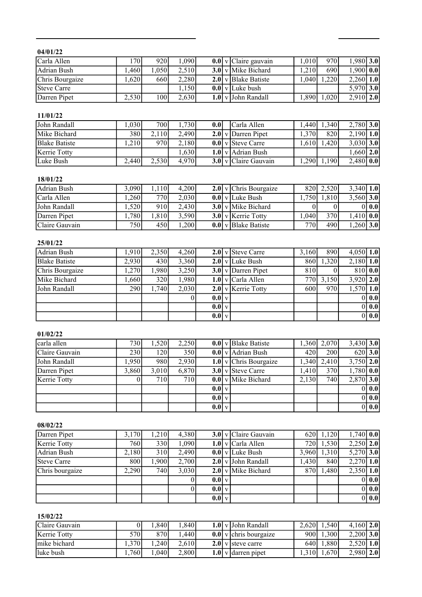### 04/01/22

| Carla Allen     | 70I   | 920    | .090  |  | $\left  0.0 \right $ v Claire gauvain | 1.0101 | 970              | $,980$ 3.0    |                  |
|-----------------|-------|--------|-------|--|---------------------------------------|--------|------------------|---------------|------------------|
| Adrian Bush     | .4601 | 1.0501 | 2.510 |  | 3.0 v Mike Bichard                    | 1,210  | 690 <sup>1</sup> | .900 0.0      |                  |
| Chris Bourgaize | .6201 | 660    | 2,280 |  | $2.0$ v Blake Batiste                 | 1.0401 | ,220             | 2.260         | 1.0 <sub>l</sub> |
| Steve Carre     |       |        | 1,150 |  | $0.0$ v Luke bush                     |        |                  | 5,970 3.0     |                  |
| Darren Pipet    | 2,530 | 100    | 2,630 |  | $1.0$ v John Randall                  | 1,890  | 1,020            | $2,910$   2.0 |                  |

### 11/01/22

| John Randall         | .030 <sub>l</sub> | 7001  | 1.7301 | 0.01 | Carla Allen                   | . 440  | 1.340 | $2,780$ 3.0   |  |
|----------------------|-------------------|-------|--------|------|-------------------------------|--------|-------|---------------|--|
| Mike Bichard         | 380I              | 2.110 | 2.490  |      | $2.0$ v Darren Pipet          | 1.370  | 8201  | $2,190$   1.0 |  |
| <b>Blake Batiste</b> | .210 <sup>1</sup> | 970I  | 2.180  |      | $0.0$ v Steve Carre           | 1.6101 | 1.420 | $3,030$ 3.0   |  |
| Kerrie Totty         |                   |       | 6301   |      | $1.0$ v Adrian Bush           |        |       | $1,660$ 2.0   |  |
| Luke Bush            | $\angle,440$      | 2.530 | 4.970  |      | 3.0 $\sqrt{C}$ Claire Gauvain | ,290   | 1,190 | $2,480$ 0.0   |  |

#### 18/01/22

| Adrian Bush    | 3.0901            | 1101 | 4.200  |  | $2.0$ v Chris Bourgaize                | 8201              | 2.520 | $3,340$   1.0 |       |
|----------------|-------------------|------|--------|--|----------------------------------------|-------------------|-------|---------------|-------|
| Carla Allen    | .260 <sup>1</sup> | 7701 | 2,030  |  | $0.0$ v Luke Bush                      | 7501              | 1.810 | $3,560$ 3.0   |       |
| John Randall   | ,520              | 910l | 2.430  |  | $3.0$ v Mike Bichard                   |                   |       |               | 0 0.0 |
| Darren Pipet   | .7801             | .810 | 3.590  |  | $3.0$ v Kerrie Totty                   | .040 <sup>1</sup> | 370   | .410 0.0      |       |
| Claire Gauvain | 750l              | 450  | 0.2001 |  | $\left  0.0 \right $ v   Blake Batiste | 770               | 490   | $,260$ 3.0    |       |

#### 25/01/22

| Adrian Bush          | 1,910 | 2,350 | 4,260 |                 | $2.0$ v Steve Carre             | 3.160            | 8901  | $4,050$ 1.0 |     |
|----------------------|-------|-------|-------|-----------------|---------------------------------|------------------|-------|-------------|-----|
| <b>Blake Batiste</b> | 2.930 | 430   | 3,360 |                 | $2.0$ v Luke Bush               | 8601             | 1,320 | $2,180$ 1.0 |     |
| Chris Bourgaize      | 1,270 | 1,980 | 3,250 |                 | $3.0$ v Darren Pipet            | 810              |       | 810 0.0     |     |
| Mike Bichard         | 1,660 | 320l  | 1,980 |                 | $1.0 \vert v \vert$ Carla Allen | 770 <sup>1</sup> | 3,150 | $3,920$ 2.0 |     |
| John Randall         | 290   | 1,740 | 2,030 |                 | $2.0$ v Kerrie Totty            | 600l             | 970   | $1,570$ 1.0 |     |
|                      |       |       |       | 0.01v           |                                 |                  |       |             | 0.0 |
|                      |       |       |       | $0.0\mathrm{v}$ |                                 |                  |       |             | 0.0 |
|                      |       |       |       | $0.0$ v         |                                 |                  |       |             | 0.0 |

## 01/02/22

| carla allen    | 730I             | 1.5201           | 2,250 |                 | $\overline{0.0}$ v Blake Batiste   | 1.3601 | 2,070 | $3,430$ 3.0 |       |
|----------------|------------------|------------------|-------|-----------------|------------------------------------|--------|-------|-------------|-------|
| Claire Gauvain | 230              | 120              | 350   |                 | $0.0$ v Adrian Bush                | 420    | 200   | 620 3.0     |       |
| John Randall   | 1,950            | 980              | 2,930 |                 | $\overline{1.0}$ v Chris Bourgaize | 1.340  | 2,410 | $3,750$ 2.0 |       |
| Darren Pipet   | 3.860            | 3.010            | 6,870 |                 | $3.0$ v Steve Carre                | 1.410  | 370l  | $1,780$ 0.0 |       |
| Kerrie Totty   | $\left( \right)$ | 710 <sup> </sup> | 710   |                 | $0.0$ v Mike Bichard               | 2,130  | 740   | $2,870$ 3.0 |       |
|                |                  |                  |       | $0.0\mathrm{V}$ |                                    |        |       |             | 0 0.0 |
|                |                  |                  |       | $0.0\mathrm{V}$ |                                    |        |       |             | 0 0.0 |
|                |                  |                  |       | $0.0\vert v$    |                                    |        |       |             | 0 0.0 |

#### 08/02/22

| Darren Pipet    | 3.170 | 1.210            | 4,380 |                 | $3.0$ v Claire Gauvain | 620I       | 1,120 | $1,740$ 0.0 |       |
|-----------------|-------|------------------|-------|-----------------|------------------------|------------|-------|-------------|-------|
| Kerrie Totty    | 760   | 330              | 1,090 |                 | $1.0$ v Carla Allen    | <b>720</b> | 1,530 | $2,250$ 2.0 |       |
| Adrian Bush     | 2.180 | 310 <sup>-</sup> | 2,490 |                 | $0.0$ v Luke Bush      | 3.960      | 1,310 | $5,270$ 3.0 |       |
| Steve Carre     | 8001  | 1,900            | 2,700 |                 | $2.0$ v John Randall   | 1.430      | 840   | $2,270$ 1.0 |       |
| Chris bourgaize | 2,290 | <b>740</b>       | 3,030 |                 | $2.0$ v Mike Bichard   | 8701       | 1.480 | $2,350$ 1.0 |       |
|                 |       |                  |       | 0.01v           |                        |            |       |             | 0.0   |
|                 |       |                  | 0     | $0.0\mathrm{V}$ |                        |            |       |             | 0 0.0 |
|                 |       |                  |       | $0.0\vert v$    |                        |            |       |             | 0.0   |

## 15/02/22

| Claire Gauvain |       | .840 | .8401 |  | 1.0 v John Randall                     | 2.620  | 1.540             | $4,160$ 2.0   |                  |
|----------------|-------|------|-------|--|----------------------------------------|--------|-------------------|---------------|------------------|
| Kerrie Totty   | 701   | 8701 | .440  |  | $\left  0.0 \right $ v chris bourgaize | 900I   | .300 <sup>1</sup> | $2,200$ 3.0   |                  |
| mike bichard   | .3701 | .240 | 2.610 |  | 2.0 $\vert$ v steve carre              | 6401   | .880              | 2.520         | 1.0 <sub>l</sub> |
| luke bush      | 7601  | .040 | 2,800 |  | 1.0 v darren pipet                     | 1.3101 | ,670              | $2,980$   2.0 |                  |